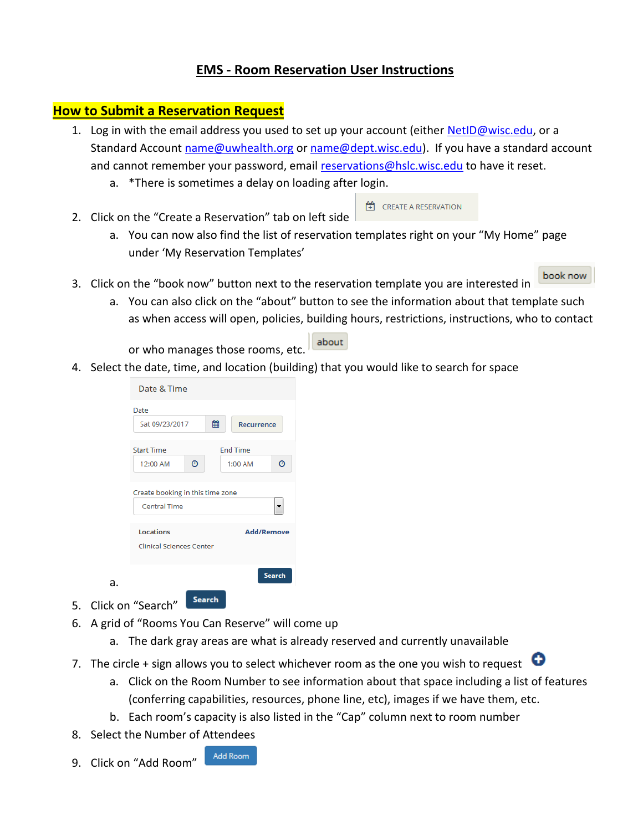### **EMS - Room Reservation User Instructions**

### **How to Submit a Reservation Request**

- 1. Log in with the email address you used to set up your account (either **NetID@wisc.edu**, or a Standard Account [name@uwhealth.org](mailto:name@uwhealth.org) or [name@dept.wisc.edu\)](mailto:name@dept.wisc.edu). If you have a standard account and cannot remember your password, email [reservations@hslc.wisc.edu](mailto:reservations@hslc.wisc.edu) to have it reset.
	- a. \*There is sometimes a delay on loading after login.
- **TH** CREATE A RESERVATION 2. Click on the "Create a Reservation" tab on left side
	- a. You can now also find the list of reservation templates right on your "My Home" page under 'My Reservation Templates'
- book now 3. Click on the "book now" button next to the reservation template you are interested in
	- a. You can also click on the "about" button to see the information about that template such as when access will open, policies, building hours, restrictions, instructions, who to contact

### about or who manages those rooms, etc.

4. Select the date, time, and location (building) that you would like to search for space

| Date & Time                      |                 |                   |               |
|----------------------------------|-----------------|-------------------|---------------|
| Date                             |                 |                   |               |
| Sat 09/23/2017                   | 鯩               | <b>Recurrence</b> |               |
| <b>Start Time</b>                | <b>End Time</b> |                   |               |
| o<br>12:00 AM                    | $1:00$ AM       |                   | o             |
| Create booking in this time zone |                 |                   |               |
| Central Time                     |                 |                   |               |
| <b>Locations</b>                 |                 | <b>Add/Remove</b> |               |
| <b>Clinical Sciences Center</b>  |                 |                   |               |
|                                  |                 |                   | <b>Search</b> |
|                                  | Search          |                   |               |

5. Click on "Search"

a.

- 6. A grid of "Rooms You Can Reserve" will come up
	- a. The dark gray areas are what is already reserved and currently unavailable
- 7. The circle + sign allows you to select whichever room as the one you wish to request  $\bullet$ 
	- a. Click on the Room Number to see information about that space including a list of features (conferring capabilities, resources, phone line, etc), images if we have them, etc.
	- b. Each room's capacity is also listed in the "Cap" column next to room number
- 8. Select the Number of Attendees
- Add Room 9. Click on "Add Room"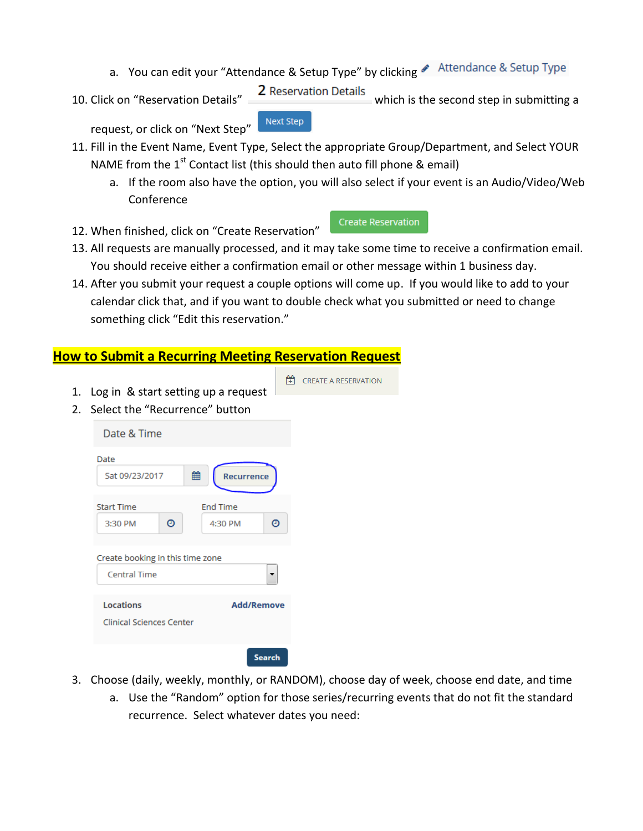- a. You can edit your "Attendance & Setup Type" by clicking Attendance & Setup Type
- 10. Click on "Reservation Details" 2 Reservation Details which is the second step in submitting a

request, or click on "Next Step"

- 11. Fill in the Event Name, Event Type, Select the appropriate Group/Department, and Select YOUR NAME from the  $1<sup>st</sup>$  Contact list (this should then auto fill phone & email)
	- a. If the room also have the option, you will also select if your event is an Audio/Video/Web Conference
- 12. When finished, click on "Create Reservation"
- 13. All requests are manually processed, and it may take some time to receive a confirmation email. You should receive either a confirmation email or other message within 1 business day.
- 14. After you submit your request a couple options will come up. If you would like to add to your calendar click that, and if you want to double check what you submitted or need to change something click "Edit this reservation."

### **How to Submit a Recurring Meeting Reservation Request**

- **TH** CREATE A RESERVATION 1. Log in & start setting up a request Date & Time 雦 Sat 09/23/2017 Recurrence **End Time** 3:30 PM 0 4:30 PM 0 **Central Time** Locations **Add/Remove Clinical Sciences Center** Search
- 3. Choose (daily, weekly, monthly, or RANDOM), choose day of week, choose end date, and time
	- a. Use the "Random" option for those series/recurring events that do not fit the standard recurrence. Select whatever dates you need:

### **Next Step**

**Create Reservation** 

2. Select the "Recurrence" button Date **Start Time** Create booking in this time zone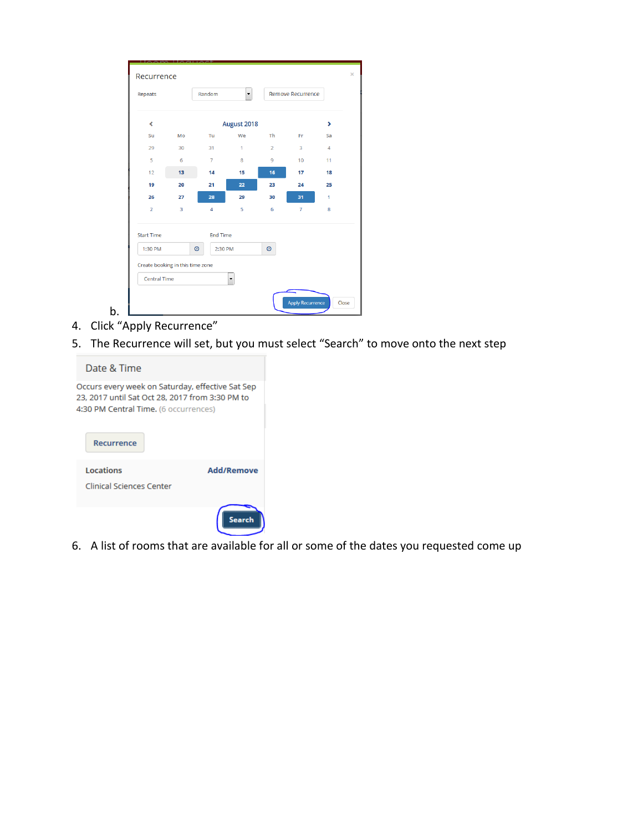| Repeats                          |                         | Random             | $\left  \cdot \right $ |                | <b>Remove Recurrence</b> |                |
|----------------------------------|-------------------------|--------------------|------------------------|----------------|--------------------------|----------------|
| k                                |                         |                    | August 2018            |                |                          | ۶              |
| Su                               | Mo                      | Tu                 | We                     | <b>Th</b>      | Fr                       | Sa             |
| 29                               | 30                      | 31                 | $\overline{1}$         | $\overline{2}$ | 3                        | $\overline{4}$ |
| 5                                | 6                       | $\overline{7}$     | 8                      | 9              | 10 <sup>10</sup>         | 11             |
| 12                               | 13                      | 14                 | 15                     | 16             | 17                       | 18             |
| 19                               | 20                      | 21                 | 22                     | 23             | 24                       | 25             |
| 26                               | 27                      | 28                 | 29                     | 30             | 31                       | 1              |
| $\overline{2}$                   | $\overline{\mathbf{3}}$ | $\overline{4}$     | 5                      | 6              | $\overline{7}$           | 8              |
| <b>Start Time</b>                |                         | <b>End Time</b>    |                        |                |                          |                |
| 1:30 PM                          |                         | $\circ$<br>2:30 PM |                        | $\odot$        |                          |                |
| Create booking in this time zone |                         |                    |                        |                |                          |                |
| <b>Central Time</b>              |                         |                    | $\blacktriangledown$   |                |                          |                |

- 4. Click "Apply Recurrence"
- 5. The Recurrence will set, but you must select "Search" to move onto the next step

| Date & Time                                                                                                                                  |                   |
|----------------------------------------------------------------------------------------------------------------------------------------------|-------------------|
| Occurs every week on Saturday, effective Sat Sep<br>23, 2017 until Sat Oct 28, 2017 from 3:30 PM to<br>4:30 PM Central Time. (6 occurrences) |                   |
| Recurrence                                                                                                                                   |                   |
| Locations<br>Clinical Sciences Center                                                                                                        | <b>Add/Remove</b> |
|                                                                                                                                              |                   |

6. A list of rooms that are available for all or some of the dates you requested come up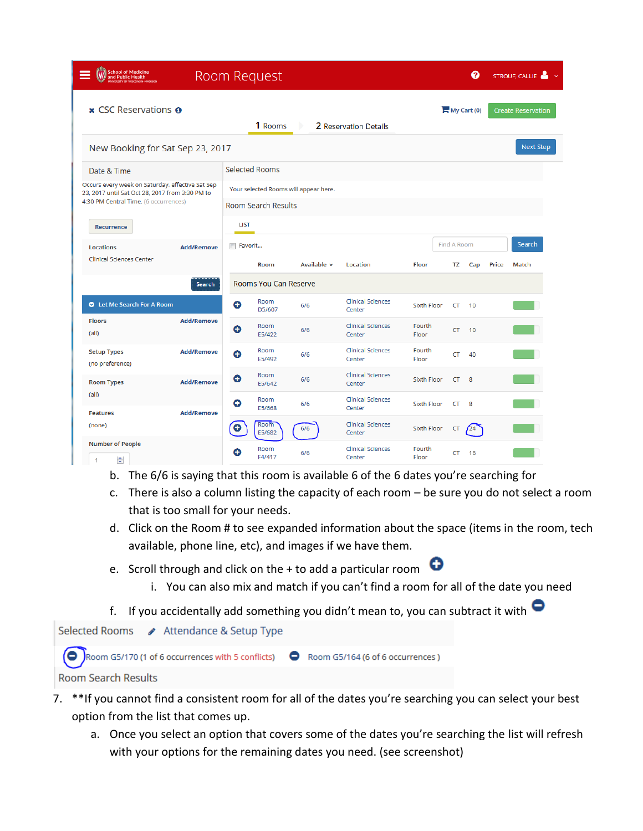| <b>School of Medicine</b><br>and Public Health                                                      |                   |             | <b>Room Request</b>          |                                       |                                    |                    |             | ଵ           |              | STROUF, CALLIE            |
|-----------------------------------------------------------------------------------------------------|-------------------|-------------|------------------------------|---------------------------------------|------------------------------------|--------------------|-------------|-------------|--------------|---------------------------|
| <b>x</b> CSC Reservations $\boldsymbol{\theta}$                                                     |                   |             | 1 Rooms                      |                                       | 2 Reservation Details              |                    |             | My Cart (0) |              | <b>Create Reservation</b> |
| New Booking for Sat Sep 23, 2017                                                                    |                   |             |                              |                                       |                                    |                    |             |             |              | <b>Next Step</b>          |
| Date & Time                                                                                         |                   |             | <b>Selected Rooms</b>        |                                       |                                    |                    |             |             |              |                           |
| Occurs every week on Saturday, effective Sat Sep<br>23, 2017 until Sat Oct 28, 2017 from 3:30 PM to |                   |             |                              | Your selected Rooms will appear here. |                                    |                    |             |             |              |                           |
| 4:30 PM Central Time. (6 occurrences)                                                               |                   |             | <b>Room Search Results</b>   |                                       |                                    |                    |             |             |              |                           |
| Recurrence                                                                                          |                   | <b>LIST</b> |                              |                                       |                                    |                    |             |             |              |                           |
| <b>Locations</b>                                                                                    | <b>Add/Remove</b> | Favorit     |                              |                                       |                                    |                    | Find A Room |             |              | Search                    |
| <b>Clinical Sciences Center</b>                                                                     |                   |             | <b>Room</b>                  | Available $\sim$                      | <b>Location</b>                    | Floor              | ΤZ          | Cap         | <b>Price</b> | Match                     |
|                                                                                                     | Search            |             | <b>Rooms You Can Reserve</b> |                                       |                                    |                    |             |             |              |                           |
| Let Me Search For A Room                                                                            |                   | Θ           | Room<br>D5/607               | 6/6                                   | <b>Clinical Sciences</b><br>Center | <b>Sixth Floor</b> | CT          | 10          |              |                           |
| <b>Floors</b><br>(all)                                                                              | <b>Add/Remove</b> | O           | Room<br>E5/422               | 6/6                                   | <b>Clinical Sciences</b><br>Center | Fourth<br>Floor    | <b>CT</b>   | 10          |              |                           |
| <b>Setup Types</b><br>(no preference)                                                               | <b>Add/Remove</b> | Θ           | Room<br>E5/492               | 6/6                                   | <b>Clinical Sciences</b><br>Center | Fourth<br>Floor    | CT          | 40          |              |                           |
| <b>Room Types</b>                                                                                   | <b>Add/Remove</b> | Θ           | Room<br>E5/642               | 6/6                                   | <b>Clinical Sciences</b><br>Center | <b>Sixth Floor</b> | CT.         | 8           |              |                           |
| (all)<br><b>Features</b>                                                                            | <b>Add/Remove</b> | Ο           | Room<br>E5/668               | 6/6                                   | <b>Clinical Sciences</b><br>Center | <b>Sixth Floor</b> | CT.         | 8           |              |                           |
| (none)                                                                                              |                   | Θ           | Room<br>E5/682               | 6/6                                   | <b>Clinical Sciences</b><br>Center | <b>Sixth Floor</b> | CT          | $\sqrt{24}$ |              |                           |
| <b>Number of People</b><br>÷<br>$\mathbf{1}$                                                        |                   | O           | Room<br>F4/417               | 6/6                                   | <b>Clinical Sciences</b><br>Center | Fourth<br>Floor    | CT          | 16          |              |                           |

- b. The 6/6 is saying that this room is available 6 of the 6 dates you're searching for
- c. There is also a column listing the capacity of each room be sure you do not select a room that is too small for your needs.
- d. Click on the Room # to see expanded information about the space (items in the room, tech available, phone line, etc), and images if we have them.
- e. Scroll through and click on the  $+$  to add a particular room  $\bullet$ 
	- i. You can also mix and match if you can't find a room for all of the date you need
- f. If you accidentally add something you didn't mean to, you can subtract it with  $\bullet$



- 7. \*\*If you cannot find a consistent room for all of the dates you're searching you can select your best option from the list that comes up.
	- a. Once you select an option that covers some of the dates you're searching the list will refresh with your options for the remaining dates you need. (see screenshot)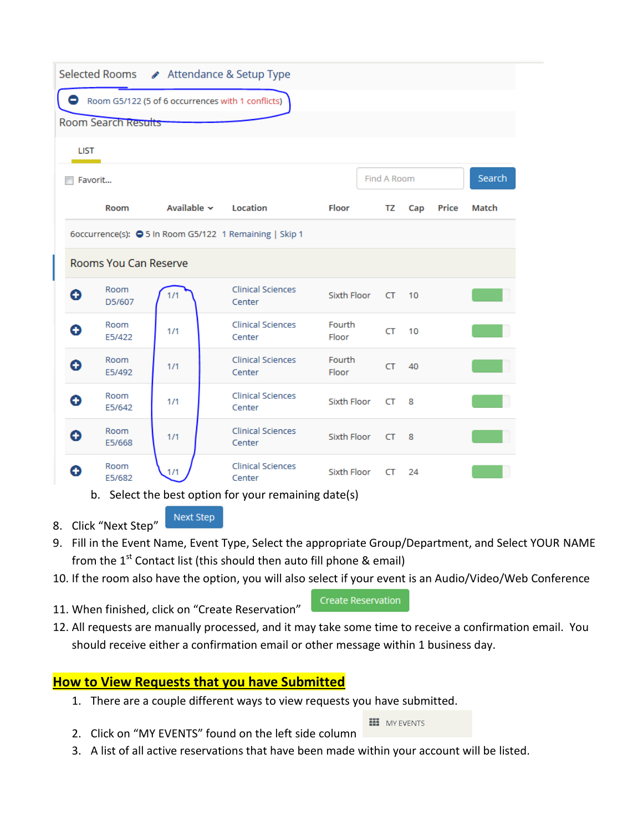| Selected Rooms ▶ Attendance & Setup Type                |     |                           |                                                                                                                                                      |  |                 |             |     |       |        |
|---------------------------------------------------------|-----|---------------------------|------------------------------------------------------------------------------------------------------------------------------------------------------|--|-----------------|-------------|-----|-------|--------|
| Room G5/122 (5 of 6 occurrences with 1 conflicts)       |     |                           |                                                                                                                                                      |  |                 |             |     |       |        |
| Room Search Results                                     |     |                           |                                                                                                                                                      |  |                 |             |     |       |        |
| <b>LIST</b>                                             |     |                           |                                                                                                                                                      |  |                 |             |     |       |        |
| Favorit                                                 |     |                           |                                                                                                                                                      |  |                 | Find A Room |     |       | Search |
| Room                                                    |     | Available $\sim$ Location |                                                                                                                                                      |  | Floor           | TZ          | Cap | Price | Match  |
| 6occurrence(s): 3 5 In Room G5/122 1 Remaining   Skip 1 |     |                           |                                                                                                                                                      |  |                 |             |     |       |        |
| Rooms You Can Reserve                                   |     |                           |                                                                                                                                                      |  |                 |             |     |       |        |
| Room<br>O<br>D5/607                                     | 1/1 |                           | <b>Clinical Sciences</b><br>Center                                                                                                                   |  | Sixth Floor     | CT.         | 10  |       |        |
| Room<br>Θ<br>E5/422                                     | 1/1 |                           | <b>Clinical Sciences</b><br>Center                                                                                                                   |  | Fourth<br>Floor | CT.         | 10  |       |        |
| Room<br>O<br>E5/492                                     | 1/1 |                           | <b>Clinical Sciences</b><br>Center                                                                                                                   |  | Fourth<br>Floor | CT.         | 40  |       |        |
| Room<br>Θ<br>E5/642                                     | 1/1 |                           | <b>Clinical Sciences</b><br>Center                                                                                                                   |  | Sixth Floor     | CT          | - 8 |       |        |
| Room<br>O<br>E5/668                                     | 1/1 |                           | <b>Clinical Sciences</b><br>Center                                                                                                                   |  | Sixth Floor     | CT.         | - 8 |       |        |
| Room<br>Ω<br>E5/682                                     | 1/1 |                           | <b>Clinical Sciences</b><br>Center<br>la de Calactella de la cettra de la Calactella de la concellata de la la Unión de la Unión de la Unión de la U |  | Sixth Floor     | CT.         | 24  |       |        |

b. Select the best option for your remaining date(s)

**Next Step** 8. Click "Next Step"

- 9. Fill in the Event Name, Event Type, Select the appropriate Group/Department, and Select YOUR NAME from the  $1<sup>st</sup>$  Contact list (this should then auto fill phone & email)
- 10. If the room also have the option, you will also select if your event is an Audio/Video/Web Conference
- 11. When finished, click on "Create Reservation"

**Create Reservation** 

12. All requests are manually processed, and it may take some time to receive a confirmation email. You should receive either a confirmation email or other message within 1 business day.

## **How to View Requests that you have Submitted**

1. There are a couple different ways to view requests you have submitted.

**HI** MY EVENTS

- 2. Click on "MY EVENTS" found on the left side column
- 3. A list of all active reservations that have been made within your account will be listed.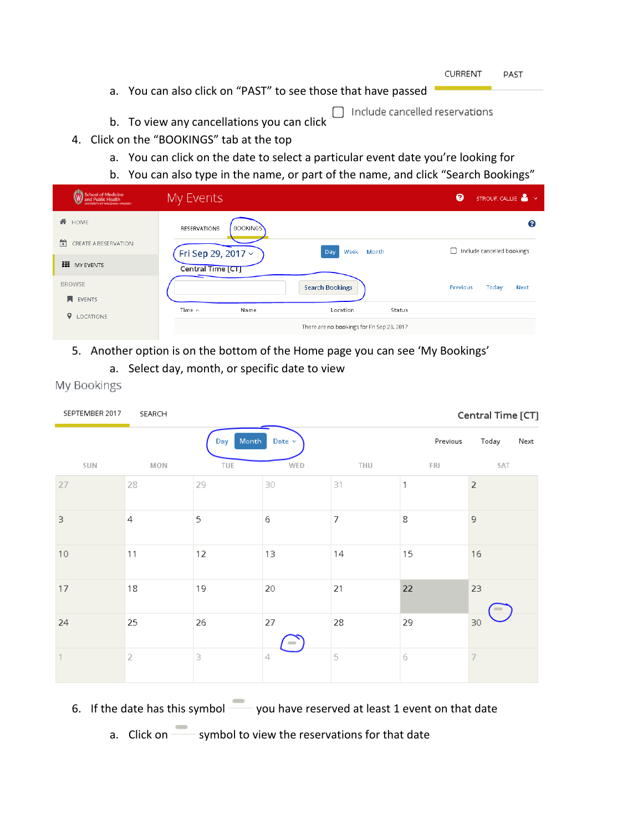| <b>CURRENT</b> | PAST |
|----------------|------|
|----------------|------|

- a. You can also click on "PAST" to see those that have passed
- b. To view any cancellations you can click

- 4. Click on the "BOOKINGS" tab at the top
	- a. You can click on the date to select a particular event date you're looking for
	- b. You can also type in the name, or part of the name, and click "Search Bookings"

| <b>School of Medicine</b><br><b>Public Health</b><br><b>INTERNATIONAL ARASSMENTS</b> | My Events                              |                                            | ๏<br>STROUF, CALLIE <b>A</b> $\times$ |
|--------------------------------------------------------------------------------------|----------------------------------------|--------------------------------------------|---------------------------------------|
| 眷<br>HOME                                                                            | <b>BOOKINGS</b><br><b>RESERVATIONS</b> |                                            | ℯ                                     |
| 帶<br>CREATE A RESERVATION                                                            | Fri Sep 29, 2017 v                     | Month<br>Week<br>Day                       | Include cancelled bookings            |
| <b>NO</b> MY EVENTS                                                                  | Central Time [CT]                      |                                            |                                       |
| <b>BROWSE</b>                                                                        |                                        | <b>Search Bookings</b>                     | Previous<br>Today<br><b>Next</b>      |
| <b>N</b> EVENTS                                                                      | Time $\sim$<br>Name                    | Location<br>Status                         |                                       |
| <b>Q</b> LOCATIONS                                                                   |                                        | There are no bookings for Fri Sep 29, 2017 |                                       |

- 5. Another option is on the bottom of the Home page you can see 'My Bookings'
	- a. Select day, month, or specific date to view

| SEPTEMBER 2017            | SEARCH    |              |             |                            |          | Central Time [CT] |
|---------------------------|-----------|--------------|-------------|----------------------------|----------|-------------------|
|                           |           | Month<br>Day | Date $\vee$ |                            | Previous | Today<br>Next     |
| <b>SUN</b>                | MON       | TUE          | WED         | THU                        | FRI      | SAT               |
| 27                        | 28        | 29           | 30          | $\ensuremath{\mathsf{31}}$ | 1        | $\mathbf 2$       |
| 3                         | 4         | 5            | 6           | 7                          | 8        | 9                 |
| $10\,$                    | 11        | 12           | 13          | 14                         | 15       | 16                |
| $17\,$                    | 18        | 19           | 20          | 21                         | 22       | 23                |
| 24                        | 25        | 26           | 27          | 28                         | 29       | 30                |
| $\ensuremath{\mathsf{I}}$ | $\bar{z}$ | 3            | 4           | 5                          | 6        | 7                 |

My Bookings

- 6. If the date has this symbol you have reserved at least 1 event on that date
	- a. Click on symbol to view the reservations for that date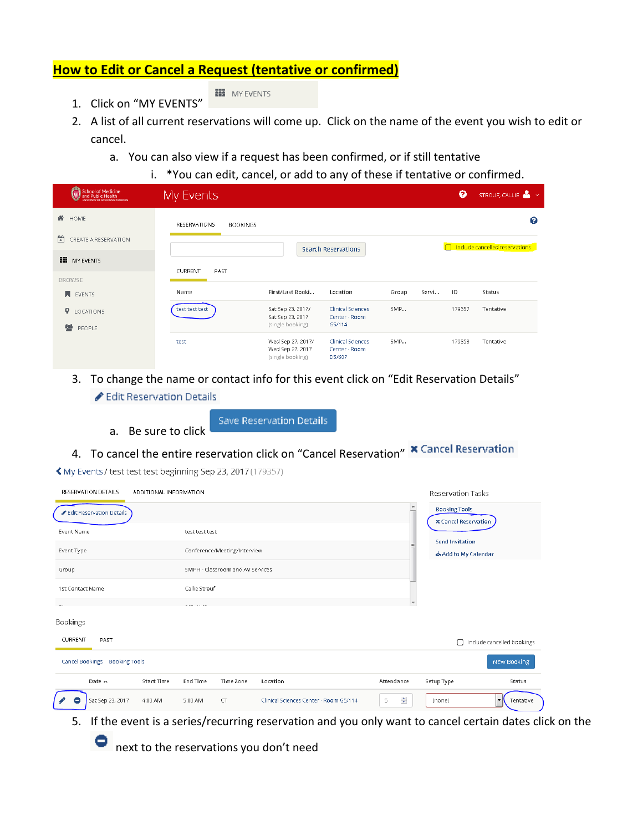### **How to Edit or Cancel a Request (tentative or confirmed)**

**HI** MY EVENTS

- 1. Click on "MY EVENTS"
- 
- 2. A list of all current reservations will come up. Click on the name of the event you wish to edit or cancel.
	- a. You can also view if a request has been confirmed, or if still tentative
		- i. \*You can edit, cancel, or add to any of these if tentative or confirmed.

| School of Medicine<br>and Public Health | My Events                              |                                                           |                                                     |       |       | ๏      | STROUF, CALLIE               |
|-----------------------------------------|----------------------------------------|-----------------------------------------------------------|-----------------------------------------------------|-------|-------|--------|------------------------------|
| <b>谷</b> HOME                           | <b>RESERVATIONS</b><br><b>BOOKINGS</b> |                                                           |                                                     |       |       |        | ℯ                            |
| 筒<br>CREATE A RESERVATION               |                                        |                                                           | <b>Search Reservations</b>                          |       |       |        | ndude cancelled reservations |
| <b>NY EVENTS</b>                        | <b>CURRENT</b><br>PAST                 |                                                           |                                                     |       |       |        |                              |
| <b>BROWSE</b>                           |                                        |                                                           |                                                     |       |       |        |                              |
| <b>N</b> EVENTS                         | Name                                   | First/Last Booki                                          | Location                                            | Group | Servi | ID     | Status                       |
| <b>V</b> LOCATIONS                      | test test test                         | Sat Sep 23, 2017/<br>Sat Sep 23, 2017                     | <b>Clinical Sciences</b><br>Center - Room           | SMP   |       | 179357 | Tentative                    |
| <b>營 PEOPLE</b>                         |                                        | (single booking)                                          | G5/114                                              |       |       |        |                              |
|                                         | test                                   | Wed Sep 27, 2017/<br>Wed Sep 27, 2017<br>(single booking) | <b>Clinical Sciences</b><br>Center - Room<br>D5/607 | SMP   |       | 179358 | Tentative                    |

- 3. To change the name or contact info for this event click on "Edit Reservation Details" Edit Reservation Details
	- a. Be sure to click

Save Reservation Details

# 4. To cancel the entire reservation click on "Cancel Reservation" **\*** Cancel Reservation

K My Events / test test test beginning Sep 23, 2017 (179357)

| RESERVATION DETAILS                     | ADDITIONAL INFORMATION |                |                                  |                                        |                                       | <b>Reservation Tasks</b>                            |                            |
|-----------------------------------------|------------------------|----------------|----------------------------------|----------------------------------------|---------------------------------------|-----------------------------------------------------|----------------------------|
| Edit Reservation Details                |                        |                |                                  |                                        | $\blacktriangle$                      | <b>Booking Tools</b><br><b>x</b> Cancel Reservation |                            |
| Event Name                              |                        | test test test |                                  |                                        |                                       |                                                     |                            |
| Event Type                              |                        |                | Conference/Meeting/Interview     |                                        |                                       | <b>Send Invitation</b><br>& Add to My Calendar      |                            |
| Group                                   |                        |                | SMPH - Classroom and AV Services |                                        |                                       |                                                     |                            |
| 1st Contact Name                        |                        | Callie Strouf  |                                  |                                        |                                       |                                                     |                            |
|                                         |                        |                |                                  |                                        |                                       |                                                     |                            |
| <b>Bookings</b>                         |                        |                |                                  |                                        |                                       |                                                     |                            |
| CURRENT<br>PAST                         |                        |                |                                  |                                        |                                       | П                                                   | Include cancelled bookings |
| Cancel Bookings<br><b>Booking Tools</b> |                        |                |                                  |                                        |                                       |                                                     | New Booking                |
| Date $\sim$                             | <b>Start Time</b>      | End Time       | Time Zone                        | Location                               | Attendance                            | Setup Type                                          | Status                     |
| Sat Sep 23, 2017                        | 4:00 AM                | 5:00 AM        | $\subset \top$                   | Clinical Sciences Center - Room G5/114 | $\frac{\Delta}{\mathbf{v}}$<br>$\,$ 5 | (none)                                              | Tentative<br>▾∣            |

5. If the event is a series/recurring reservation and you only want to cancel certain dates click on the

**O** next to the reservations you don't need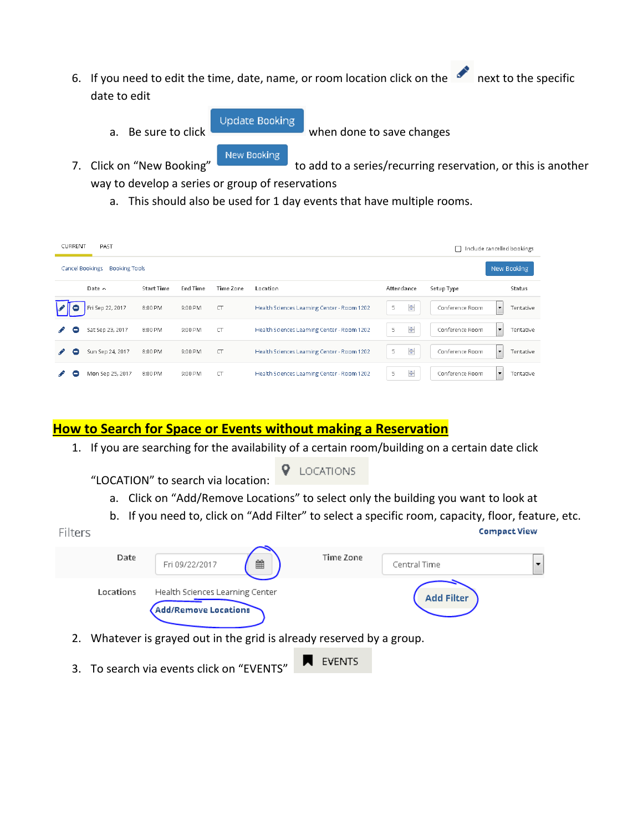- 6. If you need to edit the time, date, name, or room location click on the next to the specific date to edit
	- a. Be sure to click when done to save changes

7. Click on "New Booking" to add to a series/recurring reservation, or this is another

way to develop a series or group of reservations

a. This should also be used for 1 day events that have multiple rooms.

**Update Booking** 

New Booking

| <b>CURRENT</b> | PAST                                    |                   |          |           |                                             |                                     | П               | Include cancelled bookings            |
|----------------|-----------------------------------------|-------------------|----------|-----------|---------------------------------------------|-------------------------------------|-----------------|---------------------------------------|
|                | Cancel Bookings<br><b>Booking Tools</b> |                   |          |           |                                             |                                     |                 | New Booking                           |
|                | Date $\sim$                             | <b>Start Time</b> | End Time | Time Zone | Location                                    | Attendance                          | Setup Type      | Status                                |
| -              | Fri Sep 22, 2017                        | 8:00 PM           | 9:00 PM  | $\Box$    | Health Sciences Learning Center - Room 1202 | $\frac{\triangle}{\mathbf{v}}$<br>5 | Conference Room | Tentative<br>$\overline{\phantom{a}}$ |
| -              | Sat Sep 23, 2017                        | 8:00 PM           | 9:00 PM  | $\subset$ | Health Sciences Learning Center - Room 1202 | 츷<br>5                              | Conference Room | Tentative<br>$\blacktriangledown$     |
| Ξ              | Sun Sep 24, 2017                        | 8:00 PM           | 9:00 PM  | $\subset$ | Health Sciences Learning Center - Room 1202 | ÷<br>5                              | Conference Room | Tentative<br>$\overline{\phantom{a}}$ |
| 8              | Mon Sep 25, 2017                        | 8:00 PM           | 9:00 PM  | $\subset$ | Health Sciences Learning Center - Room 1202 | $\div$<br>5                         | Conference Room | Tentative<br>$\cdot$                  |

### **How to Search for Space or Events without making a Reservation**

1. If you are searching for the availability of a certain room/building on a certain date click

**9** LOCATIONS "LOCATION" to search via location:

- a. Click on "Add/Remove Locations" to select only the building you want to look at
- b. If you need to, click on "Add Filter" to select a specific room, capacity, floor, feature, etc.

| Date      | 雦<br>Fri 09/22/2017                                            | Time Zone | Central Time      | ▼ |
|-----------|----------------------------------------------------------------|-----------|-------------------|---|
| Locations | Health Sciences Learning Center<br><b>Add/Remove Locations</b> |           | <b>Add Filter</b> |   |

- 2. Whatever is grayed out in the grid is already reserved by a group.
- **EVENTS** 3. To search via events click on "EVENTS"